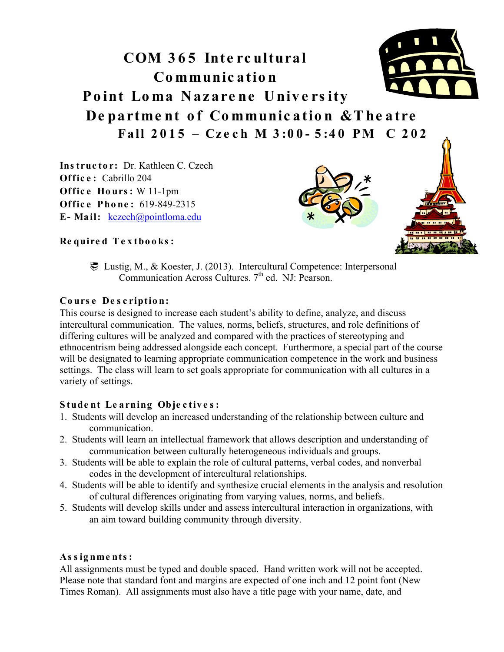# **COM 3 6 5 Inte rc ultural Communication Point Loma Nazare ne Unive rs ity Departme nt of Communication &The atre Fall 2015 – Cze ch M 3 :0 0 - 5 :4 0 PM C 2 0 2**

**Ins truc to r:** Dr. Kathleen C. Czech **Office:** Cabrillo 204 **Office Hours: W 11-1pm Office Phone: 619-849-2315 E- Mail:** kczech@pointloma.edu



#### **Re quire d T e x tbo o ks :**

! Lustig, M., & Koester, J. (2013). Intercultural Competence: Interpersonal Communication Across Cultures. 7<sup>th</sup> ed. NJ: Pearson.

#### **Cours e De s cription:**

This course is designed to increase each student's ability to define, analyze, and discuss intercultural communication. The values, norms, beliefs, structures, and role definitions of differing cultures will be analyzed and compared with the practices of stereotyping and ethnocentrism being addressed alongside each concept. Furthermore, a special part of the course will be designated to learning appropriate communication competence in the work and business settings. The class will learn to set goals appropriate for communication with all cultures in a variety of settings.

## **Stude nt Le arning Obje c tive s :**

- 1. Students will develop an increased understanding of the relationship between culture and communication.
- 2. Students will learn an intellectual framework that allows description and understanding of communication between culturally heterogeneous individuals and groups.
- 3. Students will be able to explain the role of cultural patterns, verbal codes, and nonverbal codes in the development of intercultural relationships.
- 4. Students will be able to identify and synthesize crucial elements in the analysis and resolution of cultural differences originating from varying values, norms, and beliefs.
- 5. Students will develop skills under and assess intercultural interaction in organizations, with an aim toward building community through diversity.

## **As s ignme nts :**

All assignments must be typed and double spaced. Hand written work will not be accepted. Please note that standard font and margins are expected of one inch and 12 point font (New Times Roman). All assignments must also have a title page with your name, date, and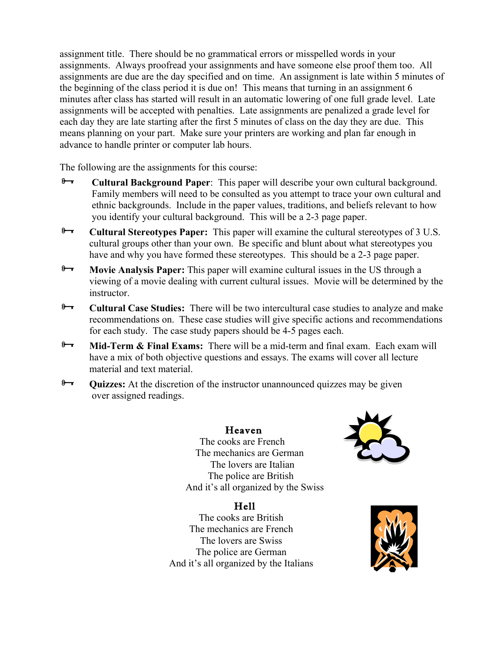assignment title. There should be no grammatical errors or misspelled words in your assignments. Always proofread your assignments and have someone else proof them too. All assignments are due are the day specified and on time. An assignment is late within 5 minutes of the beginning of the class period it is due on! This means that turning in an assignment 6 minutes after class has started will result in an automatic lowering of one full grade level. Late assignments will be accepted with penalties. Late assignments are penalized a grade level for each day they are late starting after the first 5 minutes of class on the day they are due. This means planning on your part. Make sure your printers are working and plan far enough in advance to handle printer or computer lab hours.

The following are the assignments for this course:

- **Exercity Cultural Background Paper**: This paper will describe your own cultural background. Family members will need to be consulted as you attempt to trace your own cultural and ethnic backgrounds. Include in the paper values, traditions, and beliefs relevant to how you identify your cultural background. This will be a 2-3 page paper.
- **Example 2 Cultural Stereotypes Paper:** This paper will examine the cultural stereotypes of 3 U.S. cultural groups other than your own. Be specific and blunt about what stereotypes you have and why you have formed these stereotypes. This should be a 2-3 page paper.
- **Movie Analysis Paper:** This paper will examine cultural issues in the US through a viewing of a movie dealing with current cultural issues. Movie will be determined by the instructor.
- <sup>8</sup> Cultural Case Studies: There will be two intercultural case studies to analyze and make recommendations on. These case studies will give specific actions and recommendations for each study. The case study papers should be 4-5 pages each.
- **Mid-Term & Final Exams:** There will be a mid-term and final exam. Each exam will have a mix of both objective questions and essays. The exams will cover all lecture material and text material.
- **P Quizzes:** At the discretion of the instructor unannounced quizzes may be given over assigned readings.

## Heaven

 The cooks are French The mechanics are German The lovers are Italian The police are British And it's all organized by the Swiss

# Hell

The cooks are British The mechanics are French The lovers are Swiss The police are German And it's all organized by the Italians



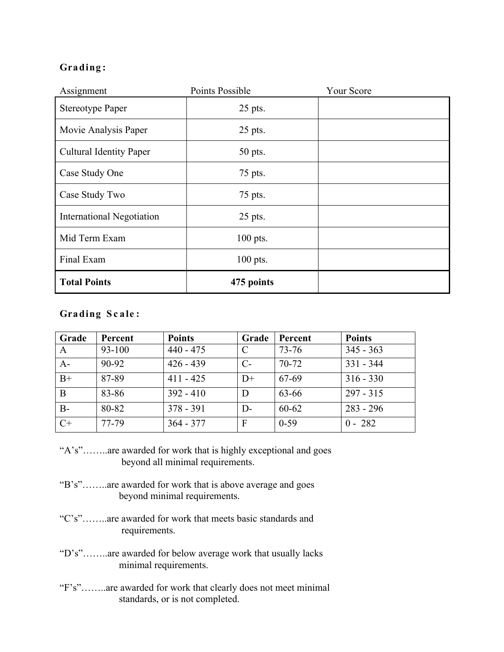# **Grading:**

| Assignment                       | Points Possible | <b>Your Score</b> |
|----------------------------------|-----------------|-------------------|
| <b>Stereotype Paper</b>          | 25 pts.         |                   |
| Movie Analysis Paper             | $25$ pts.       |                   |
| <b>Cultural Identity Paper</b>   | 50 pts.         |                   |
| Case Study One                   | 75 pts.         |                   |
| Case Study Two                   | 75 pts.         |                   |
| <b>International Negotiation</b> | $25$ pts.       |                   |
| Mid Term Exam                    | $100$ pts.      |                   |
| Final Exam                       | $100$ pts.      |                   |
| <b>Total Points</b>              | 475 points      |                   |

#### **Grading Sc ale :**

| Grade        | Percent   | <b>Points</b> | Grade         | Percent   | <b>Points</b> |
|--------------|-----------|---------------|---------------|-----------|---------------|
| $\mathbf{A}$ | 93-100    | $440 - 475$   | $\mathcal{C}$ | 73-76     | $345 - 363$   |
| $A-$         | $90 - 92$ | $426 - 439$   | $C-$          | $70 - 72$ | $331 - 344$   |
| $B+$         | 87-89     | $411 - 425$   | $D+$          | 67-69     | $316 - 330$   |
| B            | 83-86     | $392 - 410$   | D             | 63-66     | $297 - 315$   |
| $B -$        | 80-82     | $378 - 391$   | $D-$          | $60 - 62$ | $283 - 296$   |
| $C+$         | 77-79     | $364 - 377$   | F             | $0-59$    | $0 - 282$     |

- "A's"……..are awarded for work that is highly exceptional and goes beyond all minimal requirements.
- "B's"……..are awarded for work that is above average and goes beyond minimal requirements.
- "C's"……..are awarded for work that meets basic standards and requirements.
- "D's"……..are awarded for below average work that usually lacks minimal requirements.
- "F's"……..are awarded for work that clearly does not meet minimal standards, or is not completed.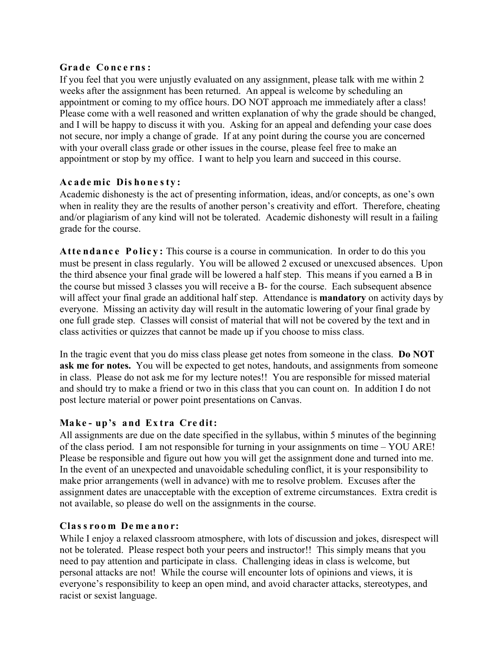#### **Grade Conc e rns :**

If you feel that you were unjustly evaluated on any assignment, please talk with me within 2 weeks after the assignment has been returned. An appeal is welcome by scheduling an appointment or coming to my office hours. DO NOT approach me immediately after a class! Please come with a well reasoned and written explanation of why the grade should be changed, and I will be happy to discuss it with you. Asking for an appeal and defending your case does not secure, nor imply a change of grade. If at any point during the course you are concerned with your overall class grade or other issues in the course, please feel free to make an appointment or stop by my office. I want to help you learn and succeed in this course.

#### **Academic Dishonesty:**

Academic dishonesty is the act of presenting information, ideas, and/or concepts, as one's own when in reality they are the results of another person's creativity and effort. Therefore, cheating and/or plagiarism of any kind will not be tolerated. Academic dishonesty will result in a failing grade for the course.

**Attendance Policy:** This course is a course in communication. In order to do this you must be present in class regularly. You will be allowed 2 excused or unexcused absences. Upon the third absence your final grade will be lowered a half step. This means if you earned a B in the course but missed 3 classes you will receive a B- for the course. Each subsequent absence will affect your final grade an additional half step. Attendance is **mandatory** on activity days by everyone. Missing an activity day will result in the automatic lowering of your final grade by one full grade step. Classes will consist of material that will not be covered by the text and in class activities or quizzes that cannot be made up if you choose to miss class.

In the tragic event that you do miss class please get notes from someone in the class. **Do NOT ask me for notes.** You will be expected to get notes, handouts, and assignments from someone in class. Please do not ask me for my lecture notes!! You are responsible for missed material and should try to make a friend or two in this class that you can count on. In addition I do not post lecture material or power point presentations on Canvas.

## **Make - up's and Ex tra Cre dit:**

All assignments are due on the date specified in the syllabus, within 5 minutes of the beginning of the class period. I am not responsible for turning in your assignments on time – YOU ARE! Please be responsible and figure out how you will get the assignment done and turned into me. In the event of an unexpected and unavoidable scheduling conflict, it is your responsibility to make prior arrangements (well in advance) with me to resolve problem. Excuses after the assignment dates are unacceptable with the exception of extreme circumstances. Extra credit is not available, so please do well on the assignments in the course.

#### **Clas s room De me anor:**

While I enjoy a relaxed classroom atmosphere, with lots of discussion and jokes, disrespect will not be tolerated. Please respect both your peers and instructor!! This simply means that you need to pay attention and participate in class. Challenging ideas in class is welcome, but personal attacks are not! While the course will encounter lots of opinions and views, it is everyone's responsibility to keep an open mind, and avoid character attacks, stereotypes, and racist or sexist language.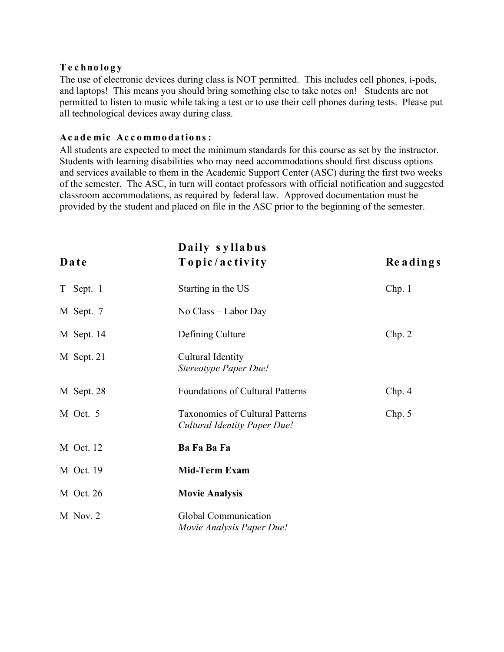#### **Technology**

The use of electronic devices during class is NOT permitted. This includes cell phones, i-pods, and laptops! This means you should bring something else to take notes on! Students are not permitted to listen to music while taking a test or to use their cell phones during tests. Please put all technological devices away during class.

#### **Academic Accommodations:**

All students are expected to meet the minimum standards for this course as set by the instructor. Students with learning disabilities who may need accommodations should first discuss options and services available to them in the Academic Support Center (ASC) during the first two weeks of the semester. The ASC, in turn will contact professors with official notification and suggested classroom accommodations, as required by federal law. Approved documentation must be provided by the student and placed on file in the ASC prior to the beginning of the semester.

| Date       | Daily syllabus<br>Topic/activity                                       | Readings |
|------------|------------------------------------------------------------------------|----------|
| T Sept. 1  | Starting in the US                                                     | Chp.1    |
| M Sept. 7  | No Class – Labor Day                                                   |          |
| M Sept. 14 | Defining Culture                                                       | Chp. 2   |
| M Sept. 21 | Cultural Identity<br>Stereotype Paper Due!                             |          |
| M Sept. 28 | <b>Foundations of Cultural Patterns</b>                                | Chp. 4   |
| M Oct. 5   | <b>Taxonomies of Cultural Patterns</b><br>Cultural Identity Paper Due! | Chp. 5   |
| M Oct. 12  | Ba Fa Ba Fa                                                            |          |
| M Oct. 19  | <b>Mid-Term Exam</b>                                                   |          |
| M Oct. 26  | <b>Movie Analysis</b>                                                  |          |
| M Nov. 2   | Global Communication<br>Movie Analysis Paper Due!                      |          |